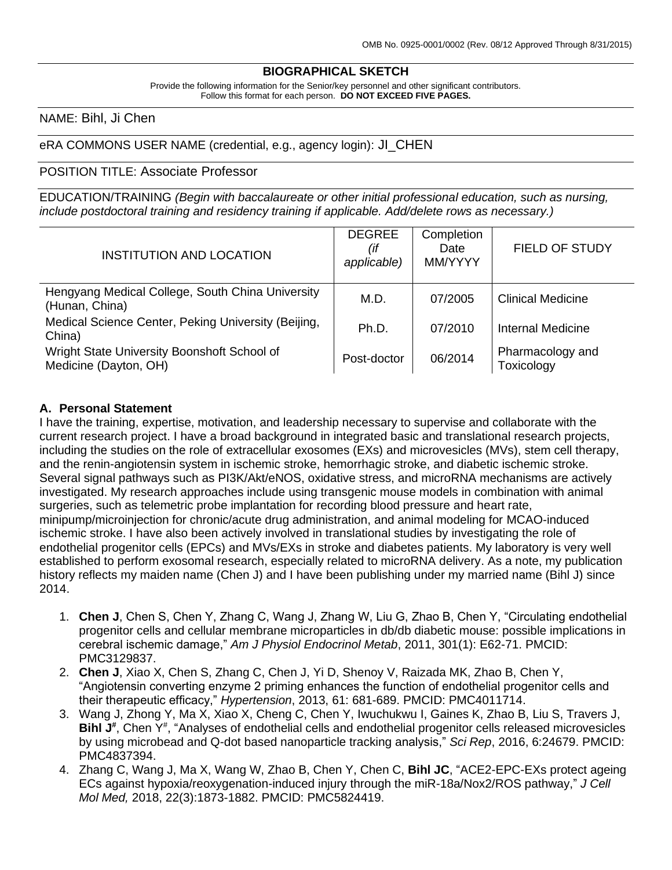#### **BIOGRAPHICAL SKETCH**

Provide the following information for the Senior/key personnel and other significant contributors. Follow this format for each person. **DO NOT EXCEED FIVE PAGES.**

#### NAME: Bihl, Ji Chen

#### eRA COMMONS USER NAME (credential, e.g., agency login): JI\_CHEN

#### POSITION TITLE: Associate Professor

EDUCATION/TRAINING *(Begin with baccalaureate or other initial professional education, such as nursing, include postdoctoral training and residency training if applicable. Add/delete rows as necessary.)*

| <b>INSTITUTION AND LOCATION</b>                                      | <b>DEGREE</b><br>(if<br>applicable) | Completion<br>Date<br>MM/YYYY | <b>FIELD OF STUDY</b>          |
|----------------------------------------------------------------------|-------------------------------------|-------------------------------|--------------------------------|
| Hengyang Medical College, South China University<br>(Hunan, China)   | M.D.                                | 07/2005                       | <b>Clinical Medicine</b>       |
| Medical Science Center, Peking University (Beijing,<br>China)        | Ph.D.                               | 07/2010                       | <b>Internal Medicine</b>       |
| Wright State University Boonshoft School of<br>Medicine (Dayton, OH) | Post-doctor                         | 06/2014                       | Pharmacology and<br>Toxicology |

#### **A. Personal Statement**

I have the training, expertise, motivation, and leadership necessary to supervise and collaborate with the current research project. I have a broad background in integrated basic and translational research projects, including the studies on the role of extracellular exosomes (EXs) and microvesicles (MVs), stem cell therapy, and the renin-angiotensin system in ischemic stroke, hemorrhagic stroke, and diabetic ischemic stroke. Several signal pathways such as PI3K/Akt/eNOS, oxidative stress, and microRNA mechanisms are actively investigated. My research approaches include using transgenic mouse models in combination with animal surgeries, such as telemetric probe implantation for recording blood pressure and heart rate, minipump/microinjection for chronic/acute drug administration, and animal modeling for MCAO-induced ischemic stroke. I have also been actively involved in translational studies by investigating the role of endothelial progenitor cells (EPCs) and MVs/EXs in stroke and diabetes patients. My laboratory is very well established to perform exosomal research, especially related to microRNA delivery. As a note, my publication history reflects my maiden name (Chen J) and I have been publishing under my married name (Bihl J) since 2014.

- 1. **Chen J**, Chen S, Chen Y, Zhang C, Wang J, Zhang W, Liu G, Zhao B, Chen Y, "Circulating endothelial progenitor cells and cellular membrane microparticles in db/db diabetic mouse: possible implications in cerebral ischemic damage," *Am J Physiol Endocrinol Metab*, 2011, 301(1): E62-71. PMCID: PMC3129837.
- 2. **Chen J**, Xiao X, Chen S, Zhang C, Chen J, Yi D, Shenoy V, Raizada MK, Zhao B, Chen Y, "Angiotensin converting enzyme 2 priming enhances the function of endothelial progenitor cells and their therapeutic efficacy," *Hypertension*, 2013, 61: 681-689. PMCID: PMC4011714.
- 3. Wang J, Zhong Y, Ma X, Xiao X, Cheng C, Chen Y, Iwuchukwu I, Gaines K, Zhao B, Liu S, Travers J, Bihl J<sup>#</sup>, Chen Y<sup>#</sup>, "Analyses of endothelial cells and endothelial progenitor cells released microvesicles by using microbead and Q-dot based nanoparticle tracking analysis," *Sci Rep*, 2016, 6:24679. PMCID: PMC4837394.
- 4. Zhang C, Wang J, Ma X, Wang W, Zhao B, Chen Y, Chen C, **Bihl JC**, "ACE2-EPC-EXs protect ageing ECs against hypoxia/reoxygenation-induced injury through the miR-18a/Nox2/ROS pathway," *J Cell Mol Med,* 2018, 22(3):1873-1882. PMCID: PMC5824419.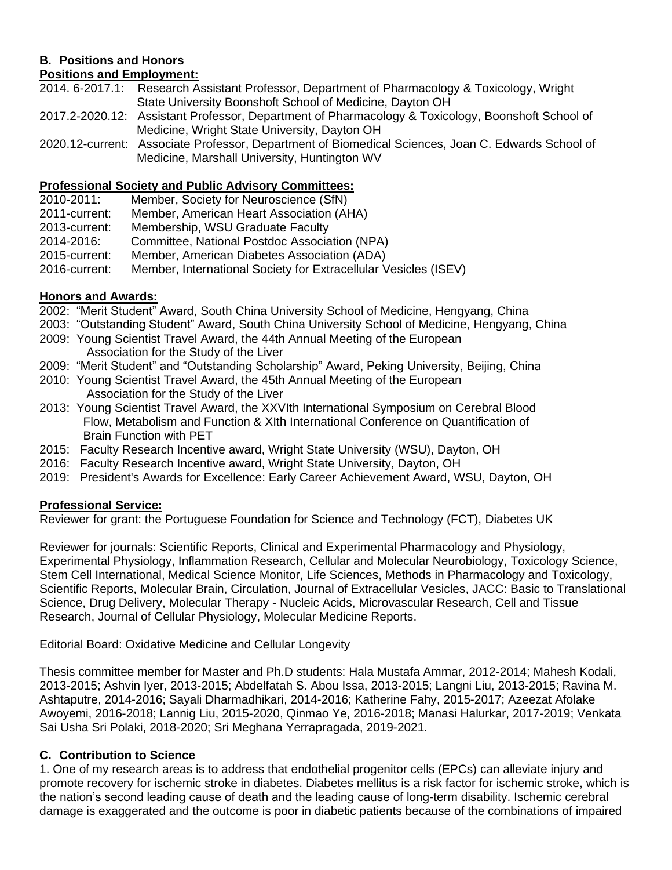# **B. Positions and Honors**

## **Positions and Employment:**

2014. 6-2017.1: Research Assistant Professor, Department of Pharmacology & Toxicology, Wright State University Boonshoft School of Medicine, Dayton OH

- 2017.2-2020.12: Assistant Professor, Department of Pharmacology & Toxicology, Boonshoft School of Medicine, Wright State University, Dayton OH
- 2020.12-current: Associate Professor, Department of Biomedical Sciences, Joan C. Edwards School of Medicine, Marshall University, Huntington WV

# **Professional Society and Public Advisory Committees:**

- Member, Society for Neuroscience (SfN)
- 2011-current: Member, American Heart Association (AHA)
- 2013-current: Membership, WSU Graduate Faculty
- 2014-2016: Committee, National Postdoc Association (NPA)
- 2015-current: Member, American Diabetes Association (ADA)
- 2016-current: Member, International Society for Extracellular Vesicles (ISEV)

## **Honors and Awards:**

2002: "Merit Student" Award, South China University School of Medicine, Hengyang, China

- 2003: "Outstanding Student" Award, South China University School of Medicine, Hengyang, China
- 2009: Young Scientist Travel Award, the 44th Annual Meeting of the European Association for the Study of the Liver
- 2009: "Merit Student" and "Outstanding Scholarship" Award, Peking University, Beijing, China
- 2010: Young Scientist Travel Award, the 45th Annual Meeting of the European Association for the Study of the Liver
- 2013: Young Scientist Travel Award, the XXVIth International Symposium on Cerebral Blood Flow, Metabolism and Function & XIth International Conference on Quantification of Brain Function with PET
- 2015: Faculty Research Incentive award, Wright State University (WSU), Dayton, OH
- 2016: Faculty Research Incentive award, Wright State University, Dayton, OH
- 2019: President's Awards for Excellence: Early Career Achievement Award, WSU, Dayton, OH

## **Professional Service:**

Reviewer for grant: the Portuguese Foundation for Science and Technology (FCT), Diabetes UK

Reviewer for journals: Scientific Reports, Clinical and Experimental Pharmacology and Physiology, Experimental Physiology, Inflammation Research, Cellular and Molecular Neurobiology, Toxicology Science, Stem Cell International, Medical Science Monitor, Life Sciences, Methods in Pharmacology and Toxicology, Scientific Reports, Molecular Brain, Circulation, Journal of Extracellular Vesicles, JACC: Basic to Translational Science, Drug Delivery, Molecular Therapy - Nucleic Acids, Microvascular Research, Cell and Tissue Research, Journal of Cellular Physiology, Molecular Medicine Reports.

Editorial Board: Oxidative Medicine and Cellular Longevity

Thesis committee member for Master and Ph.D students: Hala Mustafa Ammar, 2012-2014; Mahesh Kodali, 2013-2015; Ashvin Iyer, 2013-2015; Abdelfatah S. Abou Issa, 2013-2015; Langni Liu, 2013-2015; Ravina M. Ashtaputre, 2014-2016; Sayali Dharmadhikari, 2014-2016; Katherine Fahy, 2015-2017; Azeezat Afolake Awoyemi, 2016-2018; Lannig Liu, 2015-2020, Qinmao Ye, 2016-2018; Manasi Halurkar, 2017-2019; Venkata Sai Usha Sri Polaki, 2018-2020; Sri Meghana Yerrapragada, 2019-2021.

## **C. Contribution to Science**

1. One of my research areas is to address that endothelial progenitor cells (EPCs) can alleviate injury and promote recovery for ischemic stroke in diabetes. Diabetes mellitus is a risk factor for ischemic stroke, which is the nation's second leading cause of death and the leading cause of long-term disability. Ischemic cerebral damage is exaggerated and the outcome is poor in diabetic patients because of the combinations of impaired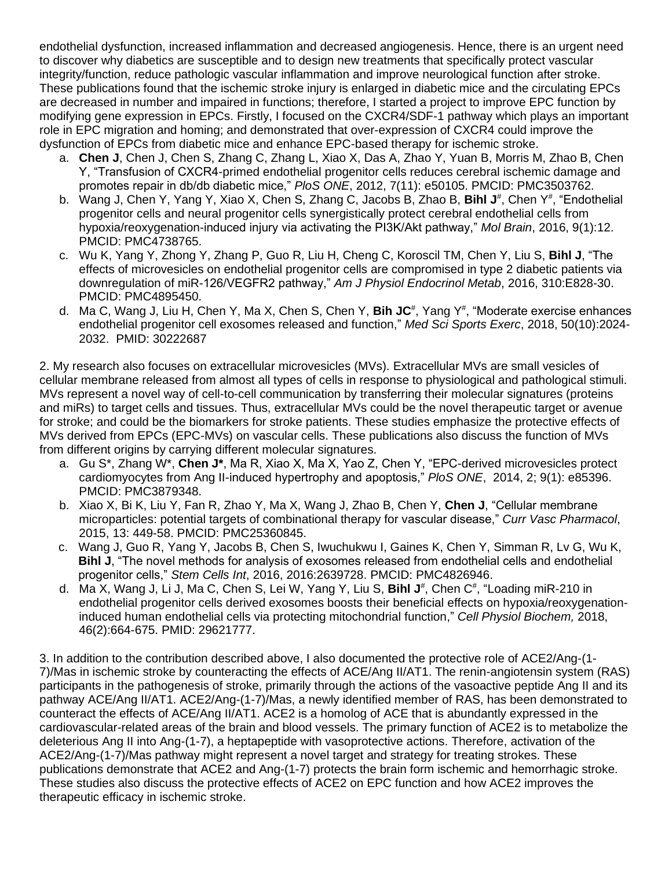endothelial dysfunction, increased inflammation and decreased angiogenesis. Hence, there is an urgent need to discover why diabetics are susceptible and to design new treatments that specifically protect vascular integrity/function, reduce pathologic vascular inflammation and improve neurological function after stroke. These publications found that the ischemic stroke injury is enlarged in diabetic mice and the circulating EPCs are decreased in number and impaired in functions; therefore, I started a project to improve EPC function by modifying gene expression in EPCs. Firstly, I focused on the CXCR4/SDF-1 pathway which plays an important role in EPC migration and homing; and demonstrated that over-expression of CXCR4 could improve the dysfunction of EPCs from diabetic mice and enhance EPC-based therapy for ischemic stroke.

- a. **Chen J**, Chen J, Chen S, Zhang C, Zhang L, Xiao X, Das A, Zhao Y, Yuan B, Morris M, Zhao B, Chen Y, "Transfusion of CXCR4-primed endothelial progenitor cells reduces cerebral ischemic damage and promotes repair in db/db diabetic mice," *PloS ONE*, 2012, 7(11): e50105. PMCID: PMC3503762.
- b. Wang J, Chen Y, Yang Y, Xiao X, Chen S, Zhang C, Jacobs B, Zhao B, **Bihl J**#, Chen Y#, "Endothelial progenitor cells and neural progenitor cells synergistically protect cerebral endothelial cells from hypoxia/reoxygenation-induced injury via activating the PI3K/Akt pathway," *Mol Brain*, 2016, 9(1):12. PMCID: PMC4738765.
- c. Wu K, Yang Y, Zhong Y, Zhang P, Guo R, Liu H, Cheng C, Koroscil TM, Chen Y, Liu S, **Bihl J**, "The effects of microvesicles on endothelial progenitor cells are compromised in type 2 diabetic patients via downregulation of miR-126/VEGFR2 pathway," *Am J Physiol Endocrinol Metab*, 2016, 310:E828-30. PMCID: PMC4895450.
- d. Ma C, Wang J, Liu H, Chen Y, Ma X, Chen S, Chen Y, Bih JC<sup>#</sup>, Yang Y<sup>#</sup>, "Moderate exercise enhances endothelial progenitor cell exosomes released and function," *Med Sci Sports Exerc*, 2018, 50(10):2024- 2032. PMID: 30222687

2. My research also focuses on extracellular microvesicles (MVs). Extracellular MVs are small vesicles of cellular membrane released from almost all types of cells in response to physiological and pathological stimuli. MVs represent a novel way of cell-to-cell communication by transferring their molecular signatures (proteins and miRs) to target cells and tissues. Thus, extracellular MVs could be the novel therapeutic target or avenue for stroke; and could be the biomarkers for stroke patients. These studies emphasize the protective effects of MVs derived from EPCs (EPC-MVs) on vascular cells. These publications also discuss the function of MVs from different origins by carrying different molecular signatures.

- a. Gu S\*, Zhang W\*, **Chen J\***, Ma R, Xiao X, Ma X, Yao Z, Chen Y, "EPC-derived microvesicles protect cardiomyocytes from Ang II-induced hypertrophy and apoptosis," *PloS ONE*, 2014, 2; 9(1): e85396. PMCID: PMC3879348.
- b. Xiao X, Bi K, Liu Y, Fan R, Zhao Y, Ma X, Wang J, Zhao B, Chen Y, **Chen J**, "Cellular membrane microparticles: potential targets of combinational therapy for vascular disease," *Curr Vasc Pharmacol*, 2015, 13: 449-58. PMCID: PMC25360845.
- c. Wang J, Guo R, Yang Y, Jacobs B, Chen S, Iwuchukwu I, Gaines K, Chen Y, Simman R, Lv G, Wu K, **Bihl J**, "The novel methods for analysis of exosomes released from endothelial cells and endothelial progenitor cells," *Stem Cells Int*, 2016, 2016:2639728. PMCID: PMC4826946.
- d. Ma X, Wang J, Li J, Ma C, Chen S, Lei W, Yang Y, Liu S, Bihl J<sup>#</sup>, Chen C<sup>#</sup>, "Loading miR-210 in endothelial progenitor cells derived exosomes boosts their beneficial effects on hypoxia/reoxygenationinduced human endothelial cells via protecting mitochondrial function," *Cell Physiol Biochem,* 2018, 46(2):664-675. PMID: 29621777.

3. In addition to the contribution described above, I also documented the protective role of ACE2/Ang-(1- 7)/Mas in ischemic stroke by counteracting the effects of ACE/Ang II/AT1. The renin-angiotensin system (RAS) participants in the pathogenesis of stroke, primarily through the actions of the vasoactive peptide Ang II and its pathway ACE/Ang II/AT1. ACE2/Ang-(1-7)/Mas, a newly identified member of RAS, has been demonstrated to counteract the effects of ACE/Ang II/AT1. ACE2 is a homolog of ACE that is abundantly expressed in the cardiovascular-related areas of the brain and blood vessels. The primary function of ACE2 is to metabolize the deleterious Ang II into Ang-(1-7), a heptapeptide with vasoprotective actions. Therefore, activation of the ACE2/Ang-(1-7)/Mas pathway might represent a novel target and strategy for treating strokes. These publications demonstrate that ACE2 and Ang-(1-7) protects the brain form ischemic and hemorrhagic stroke. These studies also discuss the protective effects of ACE2 on EPC function and how ACE2 improves the therapeutic efficacy in ischemic stroke.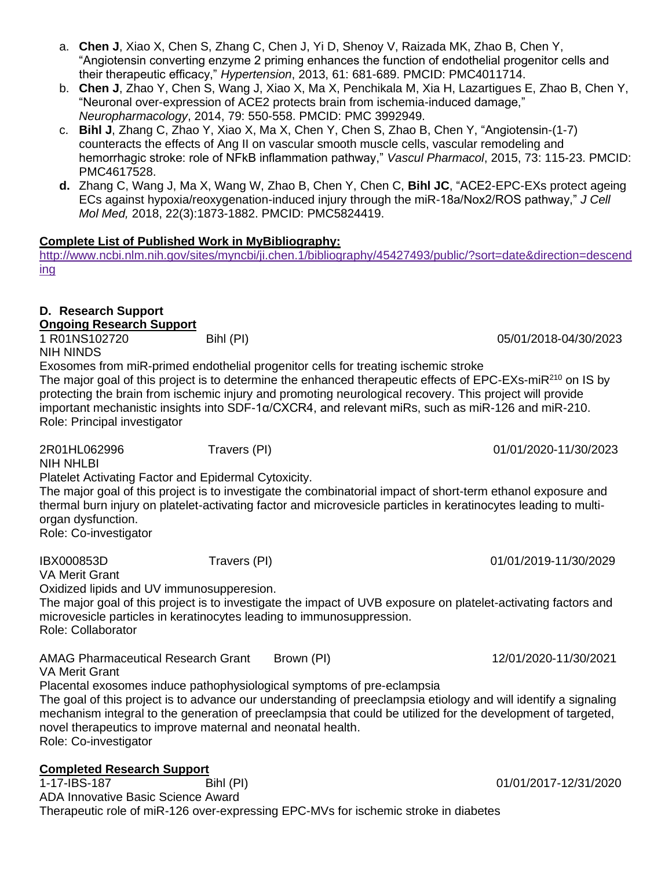- a. **Chen J**, Xiao X, Chen S, Zhang C, Chen J, Yi D, Shenoy V, Raizada MK, Zhao B, Chen Y, "Angiotensin converting enzyme 2 priming enhances the function of endothelial progenitor cells and their therapeutic efficacy," *Hypertension*, 2013, 61: 681-689. PMCID: PMC4011714.
- b. **Chen J**, Zhao Y, Chen S, Wang J, Xiao X, Ma X, Penchikala M, Xia H, Lazartigues E, Zhao B, Chen Y, "Neuronal over-expression of ACE2 protects brain from ischemia-induced damage," *Neuropharmacology*, 2014, 79: 550-558. PMCID: PMC 3992949.
- c. **Bihl J**, Zhang C, Zhao Y, Xiao X, Ma X, Chen Y, Chen S, Zhao B, Chen Y, "Angiotensin-(1-7) counteracts the effects of Ang II on vascular smooth muscle cells, vascular remodeling and hemorrhagic stroke: role of NFkB inflammation pathway," *Vascul Pharmacol*, 2015, 73: 115-23. PMCID: PMC4617528.
- **d.** Zhang C, Wang J, Ma X, Wang W, Zhao B, Chen Y, Chen C, **Bihl JC**, "ACE2-EPC-EXs protect ageing ECs against hypoxia/reoxygenation-induced injury through the miR-18a/Nox2/ROS pathway," *J Cell Mol Med,* 2018, 22(3):1873-1882. PMCID: PMC5824419.

## **Complete List of Published Work in MyBibliography:**

[http://www.ncbi.nlm.nih.gov/sites/myncbi/ji.chen.1/bibliography/45427493/public/?sort=date&direction=descend](http://www.ncbi.nlm.nih.gov/sites/myncbi/ji.chen.1/bibliography/45427493/public/?sort=date&direction=descending) [ing](http://www.ncbi.nlm.nih.gov/sites/myncbi/ji.chen.1/bibliography/45427493/public/?sort=date&direction=descending)

# **D. Research Support**

**Ongoing Research Support** 1 R01NS102720 Bihl (PI) 05/01/2018-04/30/2023

NIH NINDS

Exosomes from miR-primed endothelial progenitor cells for treating ischemic stroke The major goal of this project is to determine the enhanced therapeutic effects of EPC-EXs-miR<sup>210</sup> on IS by protecting the brain from ischemic injury and promoting neurological recovery. This project will provide important mechanistic insights into SDF-1α/CXCR4, and relevant miRs, such as miR-126 and miR-210. Role: Principal investigator

2R01HL062996 Travers (PI) 01/01/2020-11/30/2023

NIH NHLBI

Platelet Activating Factor and Epidermal Cytoxicity.

The major goal of this project is to investigate the combinatorial impact of short-term ethanol exposure and thermal burn injury on platelet-activating factor and microvesicle particles in keratinocytes leading to multiorgan dysfunction.

Role: Co-investigator

IBX000853D Travers (PI) 01/01/2019-11/30/2029

VA Merit Grant

Oxidized lipids and UV immunosupperesion.

The major goal of this project is to investigate the impact of UVB exposure on platelet-activating factors and microvesicle particles in keratinocytes leading to immunosuppression. Role: Collaborator

AMAG Pharmaceutical Research Grant Brown (PI) 12/01/2020-11/30/2021

VA Merit Grant

Placental exosomes induce pathophysiological symptoms of pre-eclampsia

The goal of this project is to advance our understanding of preeclampsia etiology and will identify a signaling mechanism integral to the generation of preeclampsia that could be utilized for the development of targeted, novel therapeutics to improve maternal and neonatal health. Role: Co-investigator

# **Completed Research Support**

1-17-IBS-187 Bihl (PI) 01/01/2017-12/31/2020 ADA Innovative Basic Science Award Therapeutic role of miR-126 over-expressing EPC-MVs for ischemic stroke in diabetes